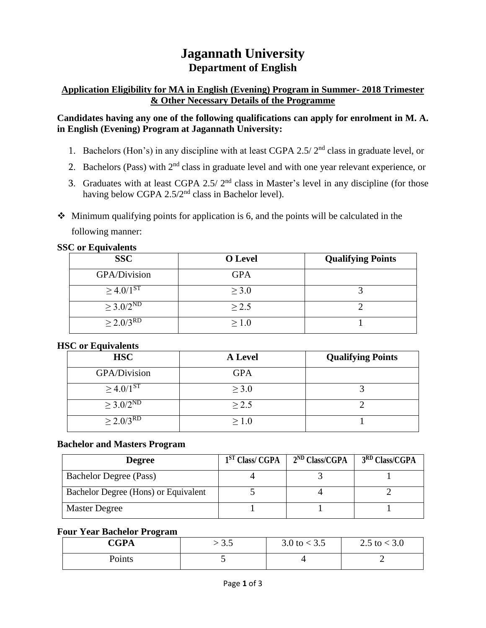# **Jagannath University Department of English**

# **Application Eligibility for MA in English (Evening) Program in Summer- 2018 Trimester & Other Necessary Details of the Programme**

## **Candidates having any one of the following qualifications can apply for enrolment in M. A. in English (Evening) Program at Jagannath University:**

- 1. Bachelors (Hon's) in any discipline with at least CGPA 2.5/ 2nd class in graduate level, or
- 2. Bachelors (Pass) with  $2<sup>nd</sup>$  class in graduate level and with one year relevant experience, or
- 3. Graduates with at least CGPA 2.5/  $2<sup>nd</sup>$  class in Master's level in any discipline (for those having below CGPA 2.5/2<sup>nd</sup> class in Bachelor level).
- $\triangle$  Minimum qualifying points for application is 6, and the points will be calculated in the following manner:

**SSC or Equivalents**

| <b>SSC</b>                   | <b>O</b> Level | <b>Qualifying Points</b> |
|------------------------------|----------------|--------------------------|
| GPA/Division                 | <b>GPA</b>     |                          |
| $\geq 4.0/1^{ST}$            | $\geq 3.0$     |                          |
| $\geq 3.0/2^{\text{ND}}$     | $\geq$ 2.5     |                          |
| $\geq 2.0/3^{R\overline{D}}$ | > 1.0          |                          |

#### **HSC or Equivalents**

| <b>HSC</b>              | <b>A</b> Level | <b>Qualifying Points</b> |
|-------------------------|----------------|--------------------------|
| GPA/Division            | <b>GPA</b>     |                          |
| $\geq 4.0/1^{S\bar{T}}$ | $\geq 3.0$     |                          |
| $\geq 3.0/2^{ND}$       | $\geq$ 2.5     |                          |
| $> 2.0/3^{RD}$          | $\geq 1.0$     |                          |

# **Bachelor and Masters Program**

| <b>Degree</b>                        | 1 <sup>ST</sup> Class/CGPA | $2^{ND}$ Class/CGPA | 3 <sup>RD</sup> Class/CGPA |
|--------------------------------------|----------------------------|---------------------|----------------------------|
| <b>Bachelor Degree (Pass)</b>        |                            |                     |                            |
| Bachelor Degree (Hons) or Equivalent |                            |                     |                            |
| <b>Master Degree</b>                 |                            |                     |                            |

# **Four Year Bachelor Program**

| <b>CGPA</b> | ر. ر | 3.0 to $<$ 3.5 | 2.5 to $<$ 3.0 |
|-------------|------|----------------|----------------|
| Points      |      |                |                |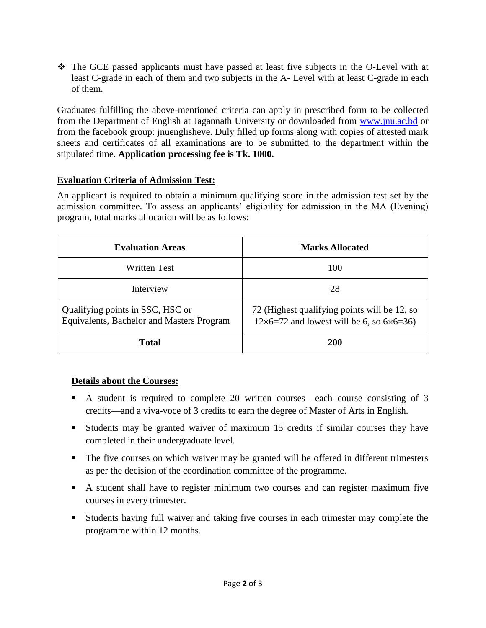The GCE passed applicants must have passed at least five subjects in the O-Level with at least C-grade in each of them and two subjects in the A- Level with at least C-grade in each of them.

Graduates fulfilling the above-mentioned criteria can apply in prescribed form to be collected from the Department of English at Jagannath University or downloaded from [www.jnu.ac.bd](http://www.jnu.ac.bd/) or from the facebook group: jnuenglisheve. Duly filled up forms along with copies of attested mark sheets and certificates of all examinations are to be submitted to the department within the stipulated time. **Application processing fee is Tk. 1000.**

## **Evaluation Criteria of Admission Test:**

An applicant is required to obtain a minimum qualifying score in the admission test set by the admission committee. To assess an applicants' eligibility for admission in the MA (Evening) program, total marks allocation will be as follows:

| <b>Evaluation Areas</b>                                                       | <b>Marks Allocated</b>                                                                                  |  |
|-------------------------------------------------------------------------------|---------------------------------------------------------------------------------------------------------|--|
| <b>Written Test</b>                                                           | 100                                                                                                     |  |
| Interview                                                                     | 28                                                                                                      |  |
| Qualifying points in SSC, HSC or<br>Equivalents, Bachelor and Masters Program | 72 (Highest qualifying points will be 12, so<br>$12\times6=72$ and lowest will be 6, so $6\times6=36$ ) |  |
| Total                                                                         | <b>200</b>                                                                                              |  |

#### **Details about the Courses:**

- A student is required to complete 20 written courses –each course consisting of 3 credits—and a viva-voce of 3 credits to earn the degree of Master of Arts in English.
- Students may be granted waiver of maximum 15 credits if similar courses they have completed in their undergraduate level.
- The five courses on which waiver may be granted will be offered in different trimesters as per the decision of the coordination committee of the programme.
- A student shall have to register minimum two courses and can register maximum five courses in every trimester.
- Students having full waiver and taking five courses in each trimester may complete the programme within 12 months.